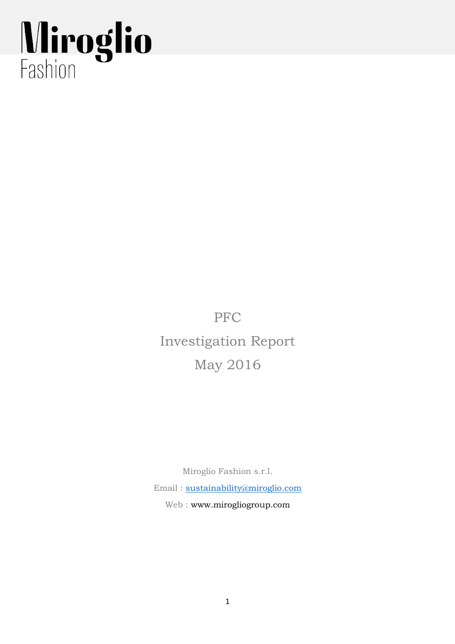# Miroglio

PFC Investigation Report May 2016

Miroglio Fashion s.r.l.

Email : sustainability@miroglio.com Web : www.mirogliogroup.com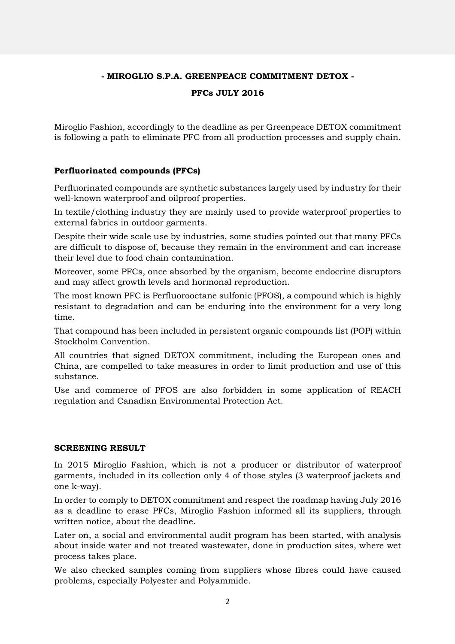# **- MIROGLIO S.P.A. GREENPEACE COMMITMENT DETOX -**

### **PFCs JULY 2016**

Miroglio Fashion, accordingly to the deadline as per Greenpeace DETOX commitment is following a path to eliminate PFC from all production processes and supply chain.

### **Perfluorinated compounds (PFCs)**

Perfluorinated compounds are synthetic substances largely used by industry for their well-known waterproof and oilproof properties.

In textile/clothing industry they are mainly used to provide waterproof properties to external fabrics in outdoor garments.

Despite their wide scale use by industries, some studies pointed out that many PFCs are difficult to dispose of, because they remain in the environment and can increase their level due to food chain contamination.

Moreover, some PFCs, once absorbed by the organism, become endocrine disruptors and may affect growth levels and hormonal reproduction.

The most known PFC is Perfluorooctane sulfonic (PFOS), a compound which is highly resistant to degradation and can be enduring into the environment for a very long time.

That compound has been included in persistent organic compounds list (POP) within Stockholm Convention.

All countries that signed DETOX commitment, including the European ones and China, are compelled to take measures in order to limit production and use of this substance.

Use and commerce of PFOS are also forbidden in some application of REACH regulation and Canadian Environmental Protection Act.

### **SCREENING RESULT**

In 2015 Miroglio Fashion, which is not a producer or distributor of waterproof garments, included in its collection only 4 of those styles (3 waterproof jackets and one k-way).

In order to comply to DETOX commitment and respect the roadmap having July 2016 as a deadline to erase PFCs, Miroglio Fashion informed all its suppliers, through written notice, about the deadline.

Later on, a social and environmental audit program has been started, with analysis about inside water and not treated wastewater, done in production sites, where wet process takes place.

We also checked samples coming from suppliers whose fibres could have caused problems, especially Polyester and Polyammide.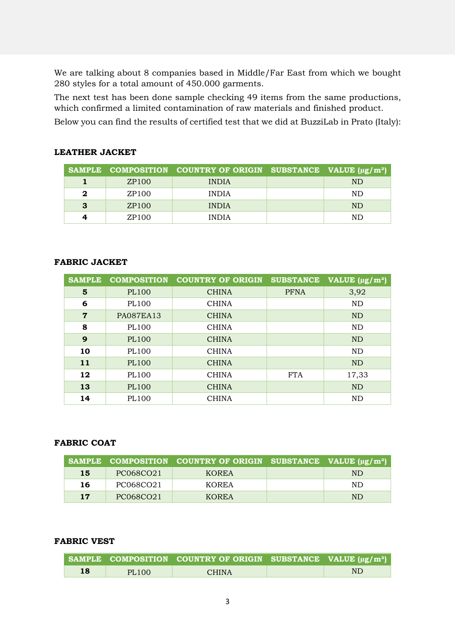We are talking about 8 companies based in Middle/Far East from which we bought 280 styles for a total amount of 450.000 garments.

The next test has been done sample checking 49 items from the same productions, which confirmed a limited contamination of raw materials and finished product.

Below you can find the results of certified test that we did at BuzziLab in Prato (Italy):

# **LEATHER JACKET**

|   |                   | SAMPLE COMPOSITION COUNTRY OF ORIGIN SUBSTANCE VALUE $(\mu g/m^2)$ |     |  |
|---|-------------------|--------------------------------------------------------------------|-----|--|
|   | ZP100             | <b>INDIA</b>                                                       | ND. |  |
| 2 | ZP <sub>100</sub> | <b>INDIA</b>                                                       | ND. |  |
| 3 | ZP <sub>100</sub> | <b>INDIA</b>                                                       | ND. |  |
| 4 | ZP100             | <b>INDIA</b>                                                       | ND. |  |

# **FABRIC JACKET**

| <b>SAMPLE</b>  | <b>COMPOSITION</b> | <b>COUNTRY OF ORIGIN</b> | <b>SUBSTANCE</b> | VALUE $(\mu g/m^2)$ |  |
|----------------|--------------------|--------------------------|------------------|---------------------|--|
| 5              | <b>PL100</b>       | <b>CHINA</b>             | <b>PFNA</b>      | 3,92                |  |
| 6              | PL100              | <b>CHINA</b>             |                  | <b>ND</b>           |  |
| $\overline{7}$ | <b>PA087EA13</b>   | <b>CHINA</b>             |                  | <b>ND</b>           |  |
| 8              | PL100              | <b>CHINA</b>             |                  | <b>ND</b>           |  |
| 9              | PL100              | <b>CHINA</b>             |                  | <b>ND</b>           |  |
| 10             | PL100              | <b>CHINA</b>             |                  | ND                  |  |
| 11             | PL100              | <b>CHINA</b>             |                  | <b>ND</b>           |  |
| 12             | PL100              | <b>CHINA</b>             | <b>FTA</b>       | 17,33               |  |
| 13             | PL100              | <b>CHINA</b>             |                  | <b>ND</b>           |  |
| 14             | PL100              | <b>CHINA</b>             |                  | ND                  |  |

### **FABRIC COAT**

|           |           | SAMPLE COMPOSITION COUNTRY OF ORIGIN SUBSTANCE VALUE $(\mu g/m^2)$ |     |
|-----------|-----------|--------------------------------------------------------------------|-----|
| 15        | PC068CO21 | <b>KOREA</b>                                                       | ND. |
| 16        | PC068CO21 | KOREA                                                              | ND. |
| <b>17</b> | PC068CO21 | <b>KOREA</b>                                                       | ND. |

### **FABRIC VEST**

|    |       | SAMPLE COMPOSITION COUNTRY OF ORIGIN SUBSTANCE VALUE $\mu$ g/m <sup>2</sup> ). |     |
|----|-------|--------------------------------------------------------------------------------|-----|
| 18 | PL100 | CHINA.                                                                         | ND. |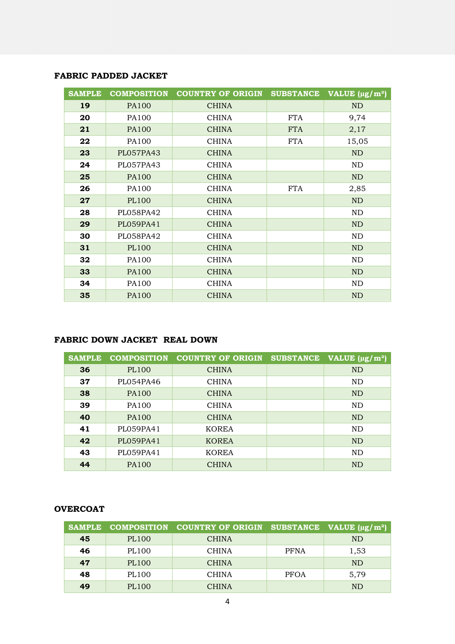### **FABRIC PADDED JACKET**

| <b>SAMPLE</b> | <b>COMPOSITION</b> | <b>COUNTRY OF ORIGIN</b> | <b>SUBSTANCE</b> | VALUE $(\mu g/m^2)$ |
|---------------|--------------------|--------------------------|------------------|---------------------|
| 19            | <b>PA100</b>       | <b>CHINA</b>             |                  | ND                  |
| 20            | PA100              | <b>CHINA</b>             | <b>FTA</b>       | 9,74                |
| 21            | <b>PA100</b>       | <b>CHINA</b>             | <b>FTA</b>       | 2,17                |
| 22            | PA100              | <b>CHINA</b>             | <b>FTA</b>       | 15,05               |
| 23            | PL057PA43          | <b>CHINA</b>             |                  | <b>ND</b>           |
| 24            | PL057PA43          | <b>CHINA</b>             |                  | ND                  |
| 25            | <b>PA100</b>       | <b>CHINA</b>             |                  | <b>ND</b>           |
| 26            | PA100              | <b>CHINA</b>             | <b>FTA</b>       | 2,85                |
| 27            | <b>PL100</b>       | <b>CHINA</b>             |                  | <b>ND</b>           |
| 28            | PL058PA42          | <b>CHINA</b>             |                  | ND                  |
| 29            | PL059PA41          | <b>CHINA</b>             |                  | N <sub>D</sub>      |
| 30            | PL058PA42          | <b>CHINA</b>             |                  | ND                  |
| 31            | <b>PL100</b>       | <b>CHINA</b>             |                  | N <sub>D</sub>      |
| 32            | PA100              | <b>CHINA</b>             |                  | ND                  |
| 33            | <b>PA100</b>       | <b>CHINA</b>             |                  | <b>ND</b>           |
| 34            | PA100              | <b>CHINA</b>             |                  | ND                  |
| 35            | <b>PA100</b>       | <b>CHINA</b>             |                  | <b>ND</b>           |

### **FABRIC DOWN JACKET REAL DOWN**

| <b>SAMPLE</b> | <b>COMPOSITION</b> | <b>COUNTRY OF ORIGIN</b> | <b>SUBSTANCE</b> | VALUE $(\mu g/m^2)$ |  |
|---------------|--------------------|--------------------------|------------------|---------------------|--|
| 36            | PL100              | <b>CHINA</b>             |                  | <b>ND</b>           |  |
| 37            | PL054PA46          | <b>CHINA</b>             |                  | ND                  |  |
| 38            | <b>PA100</b>       | <b>CHINA</b>             |                  | <b>ND</b>           |  |
| 39            | PA100              | <b>CHINA</b>             |                  | ND                  |  |
| 40            | PA100              | <b>CHINA</b>             |                  | <b>ND</b>           |  |
| 41            | PL059PA41          | <b>KOREA</b>             |                  | ND                  |  |
| 42            | PL059PA41          | <b>KOREA</b>             |                  | <b>ND</b>           |  |
| 43            | PL059PA41          | <b>KOREA</b>             |                  | ND                  |  |
| 44            | <b>PA100</b>       | <b>CHINA</b>             |                  | <b>ND</b>           |  |

# **OVERCOAT**

| <b>SAMPLE</b> | <b>COMPOSITION</b> | COUNTRY OF ORIGIN SUBSTANCE VALUE $(\mu g/m^2)$ |             |           |  |
|---------------|--------------------|-------------------------------------------------|-------------|-----------|--|
| 45            | PL100              | <b>CHINA</b>                                    |             | ND        |  |
| 46            | PL100              | <b>CHINA</b>                                    | <b>PFNA</b> | 1,53      |  |
| 47            | PL100              | <b>CHINA</b>                                    |             | ND        |  |
| 48            | PL100              | <b>CHINA</b>                                    | <b>PFOA</b> | 5,79      |  |
| 49            | PL100              | <b>CHINA</b>                                    |             | <b>ND</b> |  |